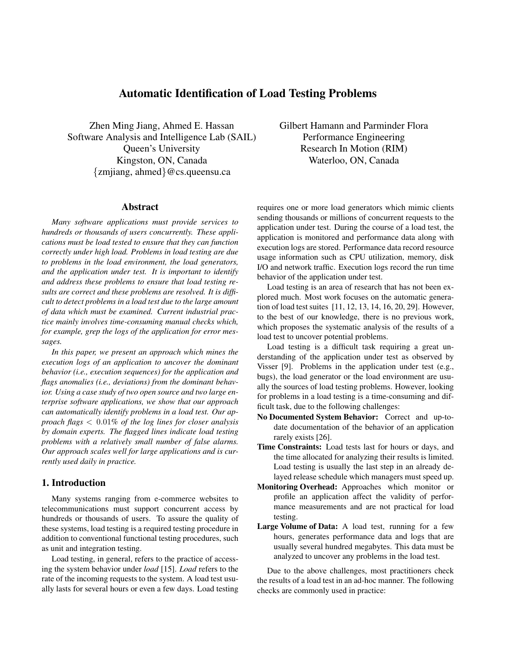# Automatic Identification of Load Testing Problems

Zhen Ming Jiang, Ahmed E. Hassan Software Analysis and Intelligence Lab (SAIL) Queen's University Kingston, ON, Canada {zmjiang, ahmed}@cs.queensu.ca

### Abstract

*Many software applications must provide services to hundreds or thousands of users concurrently. These applications must be load tested to ensure that they can function correctly under high load. Problems in load testing are due to problems in the load environment, the load generators, and the application under test. It is important to identify and address these problems to ensure that load testing results are correct and these problems are resolved. It is difficult to detect problems in a load test due to the large amount of data which must be examined. Current industrial practice mainly involves time-consuming manual checks which, for example, grep the logs of the application for error messages.*

*In this paper, we present an approach which mines the execution logs of an application to uncover the dominant behavior (i.e., execution sequences) for the application and flags anomalies (i.e., deviations) from the dominant behavior. Using a case study of two open source and two large enterprise software applications, we show that our approach can automatically identify problems in a load test. Our approach flags* < 0.01*% of the log lines for closer analysis by domain experts. The flagged lines indicate load testing problems with a relatively small number of false alarms. Our approach scales well for large applications and is currently used daily in practice.*

# 1. Introduction

Many systems ranging from e-commerce websites to telecommunications must support concurrent access by hundreds or thousands of users. To assure the quality of these systems, load testing is a required testing procedure in addition to conventional functional testing procedures, such as unit and integration testing.

Load testing, in general, refers to the practice of accessing the system behavior under *load* [15]. *Load* refers to the rate of the incoming requests to the system. A load test usually lasts for several hours or even a few days. Load testing Gilbert Hamann and Parminder Flora Performance Engineering Research In Motion (RIM) Waterloo, ON, Canada

requires one or more load generators which mimic clients sending thousands or millions of concurrent requests to the application under test. During the course of a load test, the application is monitored and performance data along with execution logs are stored. Performance data record resource usage information such as CPU utilization, memory, disk I/O and network traffic. Execution logs record the run time behavior of the application under test.

Load testing is an area of research that has not been explored much. Most work focuses on the automatic generation of load test suites [11, 12, 13, 14, 16, 20, 29]. However, to the best of our knowledge, there is no previous work, which proposes the systematic analysis of the results of a load test to uncover potential problems.

Load testing is a difficult task requiring a great understanding of the application under test as observed by Visser [9]. Problems in the application under test (e.g., bugs), the load generator or the load environment are usually the sources of load testing problems. However, looking for problems in a load testing is a time-consuming and difficult task, due to the following challenges:

- No Documented System Behavior: Correct and up-todate documentation of the behavior of an application rarely exists [26].
- Time Constraints: Load tests last for hours or days, and the time allocated for analyzing their results is limited. Load testing is usually the last step in an already delayed release schedule which managers must speed up.
- Monitoring Overhead: Approaches which monitor or profile an application affect the validity of performance measurements and are not practical for load testing.
- Large Volume of Data: A load test, running for a few hours, generates performance data and logs that are usually several hundred megabytes. This data must be analyzed to uncover any problems in the load test.

Due to the above challenges, most practitioners check the results of a load test in an ad-hoc manner. The following checks are commonly used in practice: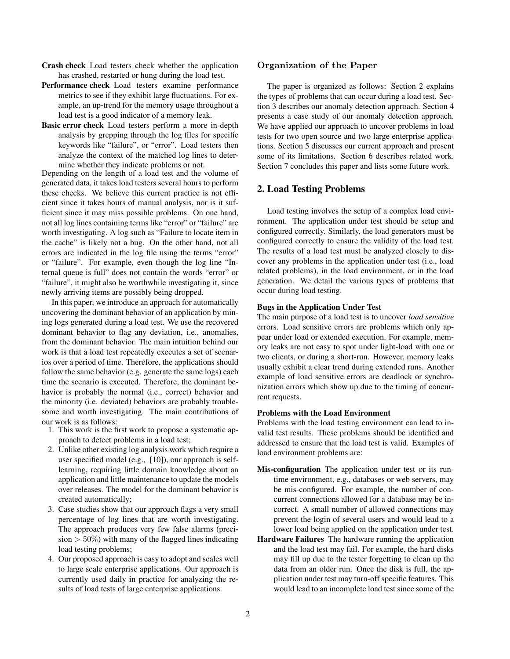- Crash check Load testers check whether the application has crashed, restarted or hung during the load test.
- Performance check Load testers examine performance metrics to see if they exhibit large fluctuations. For example, an up-trend for the memory usage throughout a load test is a good indicator of a memory leak.
- Basic error check Load testers perform a more in-depth analysis by grepping through the log files for specific keywords like "failure", or "error". Load testers then analyze the context of the matched log lines to determine whether they indicate problems or not.

Depending on the length of a load test and the volume of generated data, it takes load testers several hours to perform these checks. We believe this current practice is not efficient since it takes hours of manual analysis, nor is it sufficient since it may miss possible problems. On one hand, not all log lines containing terms like "error" or "failure" are worth investigating. A log such as "Failure to locate item in the cache" is likely not a bug. On the other hand, not all errors are indicated in the log file using the terms "error" or "failure". For example, even though the log line "Internal queue is full" does not contain the words "error" or "failure", it might also be worthwhile investigating it, since newly arriving items are possibly being dropped.

In this paper, we introduce an approach for automatically uncovering the dominant behavior of an application by mining logs generated during a load test. We use the recovered dominant behavior to flag any deviation, i.e., anomalies, from the dominant behavior. The main intuition behind our work is that a load test repeatedly executes a set of scenarios over a period of time. Therefore, the applications should follow the same behavior (e.g. generate the same logs) each time the scenario is executed. Therefore, the dominant behavior is probably the normal (i.e., correct) behavior and the minority (i.e. deviated) behaviors are probably troublesome and worth investigating. The main contributions of our work is as follows:

- 1. This work is the first work to propose a systematic approach to detect problems in a load test;
- 2. Unlike other existing log analysis work which require a user specified model (e.g., [10]), our approach is selflearning, requiring little domain knowledge about an application and little maintenance to update the models over releases. The model for the dominant behavior is created automatically;
- 3. Case studies show that our approach flags a very small percentage of log lines that are worth investigating. The approach produces very few false alarms (preci $sion > 50\%$ ) with many of the flagged lines indicating load testing problems;
- 4. Our proposed approach is easy to adopt and scales well to large scale enterprise applications. Our approach is currently used daily in practice for analyzing the results of load tests of large enterprise applications.

### **Organization of the Paper**

The paper is organized as follows: Section 2 explains the types of problems that can occur during a load test. Section 3 describes our anomaly detection approach. Section 4 presents a case study of our anomaly detection approach. We have applied our approach to uncover problems in load tests for two open source and two large enterprise applications. Section 5 discusses our current approach and present some of its limitations. Section 6 describes related work. Section 7 concludes this paper and lists some future work.

# 2. Load Testing Problems

Load testing involves the setup of a complex load environment. The application under test should be setup and configured correctly. Similarly, the load generators must be configured correctly to ensure the validity of the load test. The results of a load test must be analyzed closely to discover any problems in the application under test (i.e., load related problems), in the load environment, or in the load generation. We detail the various types of problems that occur during load testing.

### Bugs in the Application Under Test

The main purpose of a load test is to uncover *load sensitive* errors. Load sensitive errors are problems which only appear under load or extended execution. For example, memory leaks are not easy to spot under light-load with one or two clients, or during a short-run. However, memory leaks usually exhibit a clear trend during extended runs. Another example of load sensitive errors are deadlock or synchronization errors which show up due to the timing of concurrent requests.

### Problems with the Load Environment

Problems with the load testing environment can lead to invalid test results. These problems should be identified and addressed to ensure that the load test is valid. Examples of load environment problems are:

- Mis-configuration The application under test or its runtime environment, e.g., databases or web servers, may be mis-configured. For example, the number of concurrent connections allowed for a database may be incorrect. A small number of allowed connections may prevent the login of several users and would lead to a lower load being applied on the application under test.
- Hardware Failures The hardware running the application and the load test may fail. For example, the hard disks may fill up due to the tester forgetting to clean up the data from an older run. Once the disk is full, the application under test may turn-off specific features. This would lead to an incomplete load test since some of the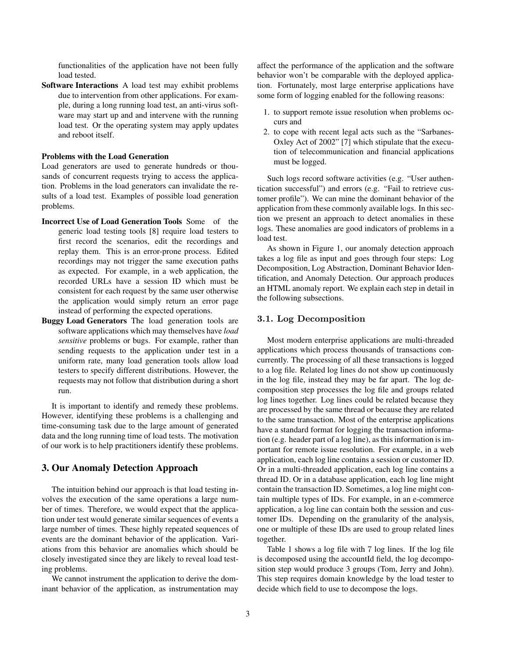functionalities of the application have not been fully load tested.

Software Interactions A load test may exhibit problems due to intervention from other applications. For example, during a long running load test, an anti-virus software may start up and and intervene with the running load test. Or the operating system may apply updates and reboot itself.

### Problems with the Load Generation

Load generators are used to generate hundreds or thousands of concurrent requests trying to access the application. Problems in the load generators can invalidate the results of a load test. Examples of possible load generation problems.

- Incorrect Use of Load Generation Tools Some of the generic load testing tools [8] require load testers to first record the scenarios, edit the recordings and replay them. This is an error-prone process. Edited recordings may not trigger the same execution paths as expected. For example, in a web application, the recorded URLs have a session ID which must be consistent for each request by the same user otherwise the application would simply return an error page instead of performing the expected operations.
- Buggy Load Generators The load generation tools are software applications which may themselves have *load sensitive* problems or bugs. For example, rather than sending requests to the application under test in a uniform rate, many load generation tools allow load testers to specify different distributions. However, the requests may not follow that distribution during a short run.

It is important to identify and remedy these problems. However, identifying these problems is a challenging and time-consuming task due to the large amount of generated data and the long running time of load tests. The motivation of our work is to help practitioners identify these problems.

### 3. Our Anomaly Detection Approach

The intuition behind our approach is that load testing involves the execution of the same operations a large number of times. Therefore, we would expect that the application under test would generate similar sequences of events a large number of times. These highly repeated sequences of events are the dominant behavior of the application. Variations from this behavior are anomalies which should be closely investigated since they are likely to reveal load testing problems.

We cannot instrument the application to derive the dominant behavior of the application, as instrumentation may affect the performance of the application and the software behavior won't be comparable with the deployed application. Fortunately, most large enterprise applications have some form of logging enabled for the following reasons:

- 1. to support remote issue resolution when problems occurs and
- 2. to cope with recent legal acts such as the "Sarbanes-Oxley Act of 2002" [7] which stipulate that the execution of telecommunication and financial applications must be logged.

Such logs record software activities (e.g. "User authentication successful") and errors (e.g. "Fail to retrieve customer profile"). We can mine the dominant behavior of the application from these commonly available logs. In this section we present an approach to detect anomalies in these logs. These anomalies are good indicators of problems in a load test.

As shown in Figure 1, our anomaly detection approach takes a log file as input and goes through four steps: Log Decomposition, Log Abstraction, Dominant Behavior Identification, and Anomaly Detection. Our approach produces an HTML anomaly report. We explain each step in detail in the following subsections.

# **3.1. Log Decomposition**

Most modern enterprise applications are multi-threaded applications which process thousands of transactions concurrently. The processing of all these transactions is logged to a log file. Related log lines do not show up continuously in the log file, instead they may be far apart. The log decomposition step processes the log file and groups related log lines together. Log lines could be related because they are processed by the same thread or because they are related to the same transaction. Most of the enterprise applications have a standard format for logging the transaction information (e.g. header part of a log line), as this information is important for remote issue resolution. For example, in a web application, each log line contains a session or customer ID. Or in a multi-threaded application, each log line contains a thread ID. Or in a database application, each log line might contain the transaction ID. Sometimes, a log line might contain multiple types of IDs. For example, in an e-commerce application, a log line can contain both the session and customer IDs. Depending on the granularity of the analysis, one or multiple of these IDs are used to group related lines together.

Table 1 shows a log file with 7 log lines. If the log file is decomposed using the accountId field, the log decomposition step would produce 3 groups (Tom, Jerry and John). This step requires domain knowledge by the load tester to decide which field to use to decompose the logs.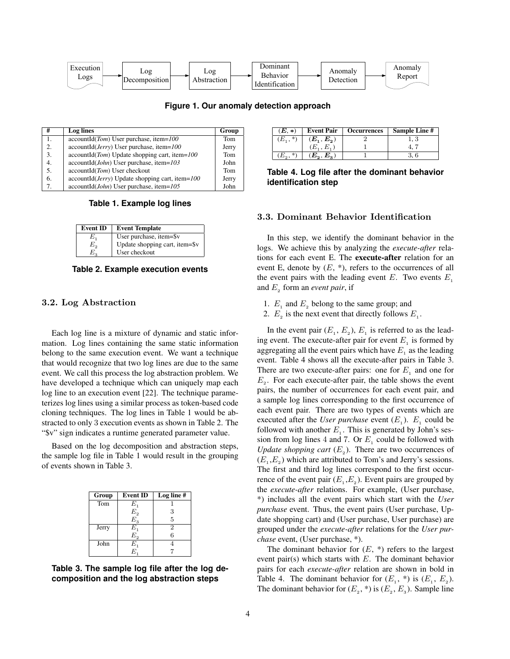

**Figure 1. Our anomaly detection approach**

| #  | Log lines                                                | Group |
|----|----------------------------------------------------------|-------|
| 1. | $accountId(Tom)$ User purchase, item= $100$              | Tom   |
| 2. | accountId(Jerry) User purchase, item=100                 | Jerry |
| 3. | $accountId(Tom)$ Update shopping cart, item= $100$       | Tom   |
| 4. | $accountId(John)$ User purchase, item= $103$             | John  |
| 5. | $accountId(Tom)$ User checkout                           | Tom   |
| 6. | accountId( <i>Jerry</i> ) Update shopping cart, item=100 | Jerry |
| 7. | $accountId(John)$ User purchase, item= $105$             | John  |

**Table 1. Example log lines**

| <b>Event ID</b> | <b>Event Template</b>          |
|-----------------|--------------------------------|
| Е,              | User purchase, item=\$v        |
| Е.,             | Update shopping cart, item=\$v |
| Е.,             | User checkout                  |

**Table 2. Example execution events**

### **3.2. Log Abstraction**

Each log line is a mixture of dynamic and static information. Log lines containing the same static information belong to the same execution event. We want a technique that would recognize that two log lines are due to the same event. We call this process the log abstraction problem. We have developed a technique which can uniquely map each log line to an execution event [22]. The technique parameterizes log lines using a similar process as token-based code cloning techniques. The log lines in Table 1 would be abstracted to only 3 execution events as shown in Table 2. The "\$v" sign indicates a runtime generated parameter value.

Based on the log decomposition and abstraction steps, the sample log file in Table 1 would result in the grouping of events shown in Table 3.

| Group | <b>Event ID</b>    | Log line#      |
|-------|--------------------|----------------|
| Tom   | E,                 |                |
|       | $E_2$ <sub>3</sub> | 3              |
|       |                    | 5              |
| Jerry | $\scriptstyle E_1$ | $\overline{2}$ |
|       | $E_{\rm o}$        | 6              |
| John  | Ε,                 |                |
|       | F,                 |                |

**Table 3. The sample log file after the log decomposition and the log abstraction steps**

| $(E,*)$ | <b>Event Pair</b> | <b>Occurrences</b> | Sample Line # |
|---------|-------------------|--------------------|---------------|
| *       | $(E_1, E_2)$      |                    | ⊥, J          |
|         | $E_{\pm}$         |                    |               |
|         |                   |                    |               |

**Table 4. Log file after the dominant behavior identification step**

### **3.3. Dominant Behavior Identification**

In this step, we identify the dominant behavior in the logs. We achieve this by analyzing the *execute-after* relations for each event E. The execute-after relation for an event E, denote by  $(E, *),$  refers to the occurrences of all the event pairs with the leading event  $E$ . Two events  $E_1$ and  $E<sub>2</sub>$  form an *event pair*, if

1.  $E_1$  and  $E_2$  belong to the same group; and

2.  $E_2$  is the next event that directly follows  $E_1$ .

In the event pair  $(E_1, E_2), E_1$  is referred to as the leading event. The execute-after pair for event  $E<sub>1</sub>$  is formed by aggregating all the event pairs which have  $E<sub>1</sub>$  as the leading event. Table 4 shows all the execute-after pairs in Table 3. There are two execute-after pairs: one for  $E<sub>1</sub>$  and one for  $E<sub>2</sub>$ . For each execute-after pair, the table shows the event pairs, the number of occurrences for each event pair, and a sample log lines corresponding to the first occurrence of each event pair. There are two types of events which are executed after the *User purchase* event  $(E_1)$ .  $E_1$  could be followed with another  $E_1$ . This is generated by John's session from log lines 4 and 7. Or  $E<sub>1</sub>$  could be followed with *Update shopping cart*  $(E_2)$ . There are two occurrences of  $(E_1, E_2)$  which are attributed to Tom's and Jerry's sessions. The first and third log lines correspond to the first occurrence of the event pair  $(E_1, E_2)$ . Event pairs are grouped by the *execute-after* relations. For example, (User purchase, \*) includes all the event pairs which start with the *User purchase* event. Thus, the event pairs (User purchase, Update shopping cart) and (User purchase, User purchase) are grouped under the *execute-after* relations for the *User purchase* event, (User purchase, \*).

The dominant behavior for  $(E, * )$  refers to the largest event pair(s) which starts with  $E$ . The dominant behavior pairs for each *execute-after* relation are shown in bold in Table 4. The dominant behavior for  $(E_1, * )$  is  $(E_1, E_2)$ . The dominant behavior for  $(E_2, * )$  is  $(E_2, E_3)$ . Sample line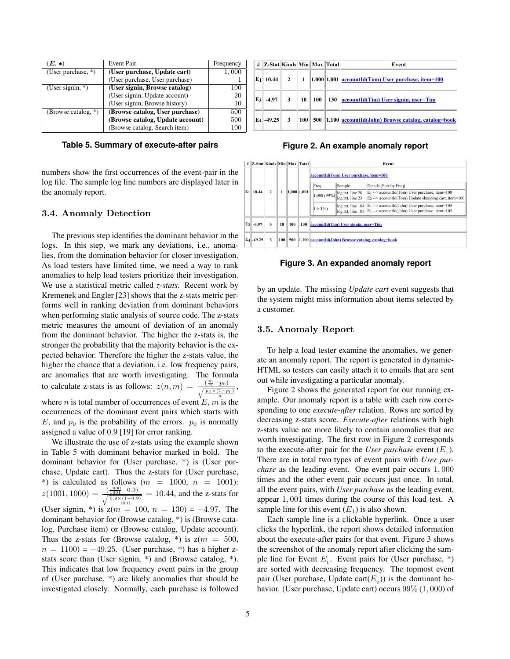| $E, *$                 | Event Pair                       | Frequency |
|------------------------|----------------------------------|-----------|
| (User purchase, $*$ )  | (User purchase, Update cart)     | 1,000     |
|                        | (User purchase, User purchase)   |           |
| (User signin, $*$ )    | (User signin, Browse catalog)    | 100       |
|                        | (User signin, Update account)    | 20        |
|                        | (User signin, Browse history)    | 10        |
| (Browse catalog, $*$ ) | (Browse catalog, User purchase)  | 500       |
|                        | (Browse catalog, Update account) | 500       |
|                        | (Browse catalog, Search item)    | 100       |

**Table 5. Summary of execute-after pairs**

numbers show the first occurrences of the event-pair in the log file. The sample log line numbers are displayed later in the anomaly report.

### **3.4. Anomaly Detection**

The previous step identifies the dominant behavior in the logs. In this step, we mark any deviations, i.e., anomalies, from the domination behavior for closer investigation. As load testers have limited time, we need a way to rank anomalies to help load testers prioritize their investigation. We use a statistical metric called *z-stats*. Recent work by Kremenek and Engler [23] shows that the z-stats metric performs well in ranking deviation from dominant behaviors when performing static analysis of source code. The z-stats metric measures the amount of deviation of an anomaly from the dominant behavior. The higher the z-stats is, the stronger the probability that the majority behavior is the expected behavior. Therefore the higher the z-stats value, the higher the chance that a deviation, i.e. low frequency pairs, are anomalies that are worth investigating. The formula to calculate z-stats is as follows:  $z(n, m) = \frac{(\frac{m}{n} - p_0)}{\sqrt{\frac{p_0 \times (1 - p_0)}{n}}}$ , where *n* is total number of occurrences of event  $E$ , *m* is the occurrences of the dominant event pairs which starts with E, and  $p_0$  is the probability of the errors.  $p_0$  is normally assigned a value of 0.9 [19] for error ranking.

We illustrate the use of z-stats using the example shown in Table 5 with dominant behavior marked in bold. The dominant behavior for (User purchase, \*) is (User purchase, Update cart). Thus the z-stats for (User purchase, \*) is calculated as follows  $(m = 1000, n = 1001)$ :  $z(1001, 1000) = \frac{(\frac{1000}{1001} - 0.9)}{\sqrt{\frac{0.9 \times (1 - 0.9)}{1001}}}$  $= 10.44$ , and the z-stats for (User signin, \*) is  $z(m = 100, n = 130) = -4.97$ . The dominant behavior for (Browse catalog, \*) is (Browse catalog, Purchase item) or (Browse catalog, Update account). Thus the z-stats for (Browse catalog, \*) is  $z(m = 500,$  $n = 1100$ ) = -49.25. (User purchase, \*) has a higher zstats score than (User signin, \*) and (Browse catalog, \*). This indicates that low frequency event pairs in the group of (User purchase, \*) are likely anomalies that should be investigated closely. Normally, each purchase is followed

| #  | Z-Stat Kinds Min Max Total |              |     |     |     | Event                                                |
|----|----------------------------|--------------|-----|-----|-----|------------------------------------------------------|
|    | 10.44                      | $\mathbf{2}$ | 1   |     |     | 1,000 1,001 accountId(Tom) User purchase, item=100   |
| E3 | $-4.97$                    | 3            | 10  | 100 | 130 | accountId(Tim) User signin, user=Tim                 |
|    | $E_4$ -49.25               | 3            | 100 | 500 |     | [1,100] accountId(John) Browse catalog, catalog=book |

**Figure 2. An example anomaly report**

| #              | <b>Z-Stat Kinds Min Max Total</b> |              |     |     |             | Event                                              |                                                                                                     |                                                                                                                                                                  |
|----------------|-----------------------------------|--------------|-----|-----|-------------|----------------------------------------------------|-----------------------------------------------------------------------------------------------------|------------------------------------------------------------------------------------------------------------------------------------------------------------------|
|                |                                   |              |     |     |             |                                                    | accountId(Tom) User purchase, item=100                                                              |                                                                                                                                                                  |
|                |                                   |              |     |     |             | Freq                                               | Sample                                                                                              | Details (Sort by Freq)                                                                                                                                           |
| $E_1$          | 10.44                             | $\mathbf{2}$ |     |     | 1.000 1.001 |                                                    | 1,000 (99%) $\begin{array}{c} \log.txt, \text{ line } 20 \\ \log.txt, \text{ line } 23 \end{array}$ | $E_1 \rightarrow$ accountId(Tom) User purchase, item=100<br>$E_2 \rightarrow$ accountId(Tom) Update shopping cart, item=100                                      |
|                |                                   |              |     |     |             | $1 (< 1\%)$                                        |                                                                                                     | $\log$ txt. line 104 $\mathbb{E}_1$ --> account d(John) User purchase, item=103<br>$log.txt$ , line 108 $ E_1 - \rangle$ account d(John) User purchase, item=105 |
| E <sub>3</sub> | $-4.97$                           | 3            | 10  | 100 | 130         | accountId(Tim) User signin, user=Tim               |                                                                                                     |                                                                                                                                                                  |
|                | $E_4$ -49.25                      | 3            | 100 | 500 |             | 1,100 accountId(John) Browse catalog, catalog=book |                                                                                                     |                                                                                                                                                                  |

#### **Figure 3. An expanded anomaly report**

by an update. The missing *Update cart* event suggests that the system might miss information about items selected by a customer.

### **3.5. Anomaly Report**

To help a load tester examine the anomalies, we generate an anomaly report. The report is generated in dynamic-HTML so testers can easily attach it to emails that are sent out while investigating a particular anomaly.

Figure 2 shows the generated report for our running example. Our anomaly report is a table with each row corresponding to one *execute-after* relation. Rows are sorted by decreasing z-stats score. *Execute-after* relations with high z-stats value are more likely to contain anomalies that are worth investigating. The first row in Figure 2 corresponds to the execute-after pair for the *User purchase* event  $(E_1)$ . There are in total two types of event pairs with *User purchase* as the leading event. One event pair occurs 1, 000 times and the other event pair occurs just once. In total, all the event pairs, with *User purchase* as the leading event, appear 1, 001 times during the course of this load test. A sample line for this event  $(E_1)$  is also shown.

Each sample line is a clickable hyperlink. Once a user clicks the hyperlink, the report shows detailed information about the execute-after pairs for that event. Figure 3 shows the screenshot of the anomaly report after clicking the sample line for Event  $E<sub>1</sub>$ . Event pairs for (User purchase, \*) are sorted with decreasing frequency. The topmost event pair (User purchase, Update cart $(E_2)$ ) is the dominant behavior. (User purchase, Update cart) occurs  $99\%$  (1,000) of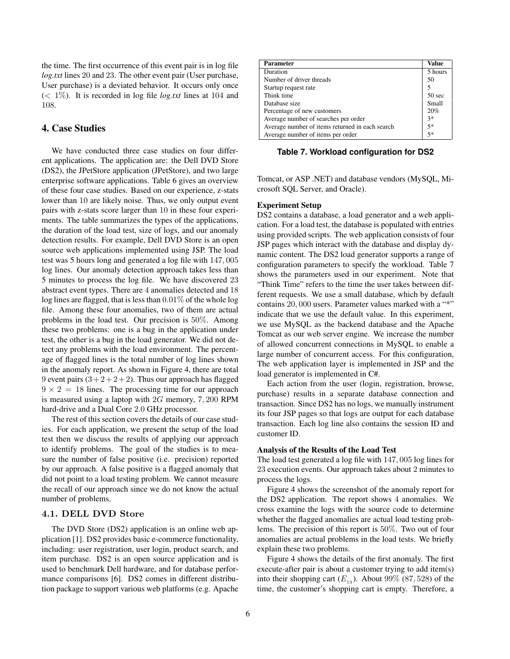the time. The first occurrence of this event pair is in log file *log.txt* lines 20 and 23. The other event pair (User purchase, User purchase) is a deviated behavior. It occurs only once (< 1%). It is recorded in log file *log.txt* lines at 104 and 108.

# 4. Case Studies

We have conducted three case studies on four different applications. The application are: the Dell DVD Store (DS2), the JPetStore application (JPetStore), and two large enterprise software applications. Table 6 gives an overview of these four case studies. Based on our experience, z-stats lower than 10 are likely noise. Thus, we only output event pairs with z-stats score larger than 10 in these four experiments. The table summarizes the types of the applications, the duration of the load test, size of logs, and our anomaly detection results. For example, Dell DVD Store is an open source web applications implemented using JSP. The load test was 5 hours long and generated a log file with 147, 005 log lines. Our anomaly detection approach takes less than 5 minutes to process the log file. We have discovered 23 abstract event types. There are 4 anomalies detected and 18 log lines are flagged, that is less than 0.01% of the whole log file. Among these four anomalies, two of them are actual problems in the load test. Our precision is 50%. Among these two problems: one is a bug in the application under test, the other is a bug in the load generator. We did not detect any problems with the load environment. The percentage of flagged lines is the total number of log lines shown in the anomaly report. As shown in Figure 4, there are total 9 event pairs  $(3+2+2+2)$ . Thus our approach has flagged  $9 \times 2 = 18$  lines. The processing time for our approach is measured using a laptop with 2G memory, 7, 200 RPM hard-drive and a Dual Core 2.0 GHz processor.

The rest of this section covers the details of our case studies. For each application, we present the setup of the load test then we discuss the results of applying our approach to identify problems. The goal of the studies is to measure the number of false positive (i.e. precision) reported by our approach. A false positive is a flagged anomaly that did not point to a load testing problem. We cannot measure the recall of our approach since we do not know the actual number of problems.

### **4.1. DELL DVD Store**

The DVD Store (DS2) application is an online web application [1]. DS2 provides basic e-commerce functionality, including: user registration, user login, product search, and item purchase. DS2 is an open source application and is used to benchmark Dell hardware, and for database performance comparisons [6]. DS2 comes in different distribution package to support various web platforms (e.g. Apache

| <b>Parameter</b>                                | Value    |
|-------------------------------------------------|----------|
| Duration                                        | 5 hours  |
| Number of driver threads                        | 50       |
| Startup request rate                            | 5        |
| Think time                                      | $50$ sec |
| Database size                                   | Small    |
| Percentage of new customers                     | 20%      |
| Average number of searches per order            | $3*$     |
| Average number of items returned in each search | $5*$     |
| Average number of items per order               | $5*$     |

**Table 7. Workload configuration for DS2**

Tomcat, or ASP .NET) and database vendors (MySQL, Microsoft SQL Server, and Oracle).

### Experiment Setup

DS2 contains a database, a load generator and a web application. For a load test, the database is populated with entries using provided scripts. The web application consists of four JSP pages which interact with the database and display dynamic content. The DS2 load generator supports a range of configuration parameters to specify the workload. Table 7 shows the parameters used in our experiment. Note that "Think Time" refers to the time the user takes between different requests. We use a small database, which by default contains 20,000 users. Parameter values marked with a "\*" indicate that we use the default value. In this experiment, we use MySQL as the backend database and the Apache Tomcat as our web server engine. We increase the number of allowed concurrent connections in MySQL to enable a large number of concurrent access. For this configuration, The web application layer is implemented in JSP and the load generator is implemented in C#.

Each action from the user (login, registration, browse, purchase) results in a separate database connection and transaction. Since DS2 has no logs, we manually instrument its four JSP pages so that logs are output for each database transaction. Each log line also contains the session ID and customer ID.

#### Analysis of the Results of the Load Test

The load test generated a log file with 147, 005 log lines for 23 execution events. Our approach takes about 2 minutes to process the logs.

Figure 4 shows the screenshot of the anomaly report for the DS2 application. The report shows 4 anomalies. We cross examine the logs with the source code to determine whether the flagged anomalies are actual load testing problems. The precision of this report is 50%. Two out of four anomalies are actual problems in the load tests. We briefly explain these two problems.

Figure 4 shows the details of the first anomaly. The first execute-after pair is about a customer trying to add item(s) into their shopping cart  $(E_{13})$ . About 99% (87, 528) of the time, the customer's shopping cart is empty. Therefore, a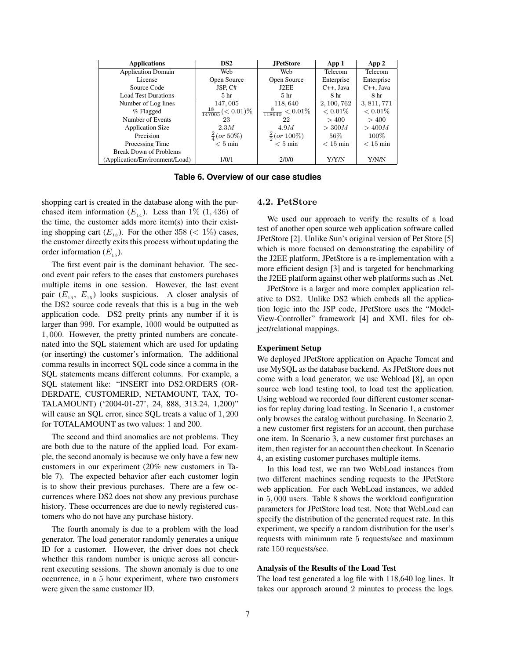| <b>Applications</b>            | DS <sub>2</sub>               | <b>JPetStore</b>            | App 1           | App 2           |
|--------------------------------|-------------------------------|-----------------------------|-----------------|-----------------|
| <b>Application Domain</b>      | Web                           | Web                         | Telecom         | Telecom         |
| License                        | Open Source                   | Open Source                 | Enterprise      | Enterprise      |
| Source Code                    | JSP, C#                       | J2EE                        | $C_{++}$ , Java | $C++$ , Java    |
| <b>Load Test Durations</b>     | 5 <sub>hr</sub>               | 5 <sub>hr</sub>             | 8 hr            | 8 <sub>hr</sub> |
| Number of Log lines            | 147,005                       | 118,640                     | 2, 100, 762     | 3, 811, 771     |
| $%$ Flagged                    | $\frac{18}{147005}$ (< 0.01)% | $\frac{8}{118640} < 0.01\%$ | $< 0.01\%$      | $< 0.01\%$      |
| Number of Events               | 23                            | 22                          | >400            | >400            |
| <b>Application Size</b>        | 2.3M                          | 4.9M                        | >300M           | >400M           |
| Precision                      | $\frac{2}{4}$ (or 50%)        | $\frac{2}{2}$ (or 100%)     | $56\%$          | $100\%$         |
| Processing Time                | $< 5 \text{ min}$             | $< 5 \text{ min}$           | $< 15$ min      | $< 15$ min      |
| <b>Break Down of Problems</b>  |                               |                             |                 |                 |
| (Application/Environment/Load) | 1/0/1                         | 2/0/0                       | Y/Y/N           | Y/N/N           |

**Table 6. Overview of our case studies**

shopping cart is created in the database along with the purchased item information  $(E_{14})$ . Less than 1\% (1,436) of the time, the customer adds more item(s) into their existing shopping cart  $(E_{13})$ . For the other 358 (< 1%) cases, the customer directly exits this process without updating the order information  $(E_{15})$ .

The first event pair is the dominant behavior. The second event pair refers to the cases that customers purchases multiple items in one session. However, the last event pair  $(E_{13}, E_{15})$  looks suspicious. A closer analysis of the DS2 source code reveals that this is a bug in the web application code. DS2 pretty prints any number if it is larger than 999. For example, 1000 would be outputted as 1, 000. However, the pretty printed numbers are concatenated into the SQL statement which are used for updating (or inserting) the customer's information. The additional comma results in incorrect SQL code since a comma in the SQL statements means different columns. For example, a SQL statement like: "INSERT into DS2.ORDERS (OR-DERDATE, CUSTOMERID, NETAMOUNT, TAX, TO-TALAMOUNT) ('2004-01-27', 24, 888, 313.24, 1,200)" will cause an SQL error, since SQL treats a value of 1, 200 for TOTALAMOUNT as two values: 1 and 200.

The second and third anomalies are not problems. They are both due to the nature of the applied load. For example, the second anomaly is because we only have a few new customers in our experiment (20% new customers in Table 7). The expected behavior after each customer login is to show their previous purchases. There are a few occurrences where DS2 does not show any previous purchase history. These occurrences are due to newly registered customers who do not have any purchase history.

The fourth anomaly is due to a problem with the load generator. The load generator randomly generates a unique ID for a customer. However, the driver does not check whether this random number is unique across all concurrent executing sessions. The shown anomaly is due to one occurrence, in a 5 hour experiment, where two customers were given the same customer ID.

### **4.2. PetStore**

We used our approach to verify the results of a load test of another open source web application software called JPetStore [2]. Unlike Sun's original version of Pet Store [5] which is more focused on demonstrating the capability of the J2EE platform, JPetStore is a re-implementation with a more efficient design [3] and is targeted for benchmarking the J2EE platform against other web platforms such as .Net.

JPetStore is a larger and more complex application relative to DS2. Unlike DS2 which embeds all the application logic into the JSP code, JPetStore uses the "Model-View-Controller" framework [4] and XML files for object/relational mappings.

### Experiment Setup

We deployed JPetStore application on Apache Tomcat and use MySQL as the database backend. As JPetStore does not come with a load generator, we use Webload [8], an open source web load testing tool, to load test the application. Using webload we recorded four different customer scenarios for replay during load testing. In Scenario 1, a customer only browses the catalog without purchasing. In Scenario 2, a new customer first registers for an account, then purchase one item. In Scenario 3, a new customer first purchases an item, then register for an account then checkout. In Scenario 4, an existing customer purchases multiple items.

In this load test, we ran two WebLoad instances from two different machines sending requests to the JPetStore web application. For each WebLoad instances, we added in 5, 000 users. Table 8 shows the workload configuration parameters for JPetStore load test. Note that WebLoad can specify the distribution of the generated request rate. In this experiment, we specify a random distribution for the user's requests with minimum rate 5 requests/sec and maximum rate 150 requests/sec.

### Analysis of the Results of the Load Test

The load test generated a log file with 118,640 log lines. It takes our approach around 2 minutes to process the logs.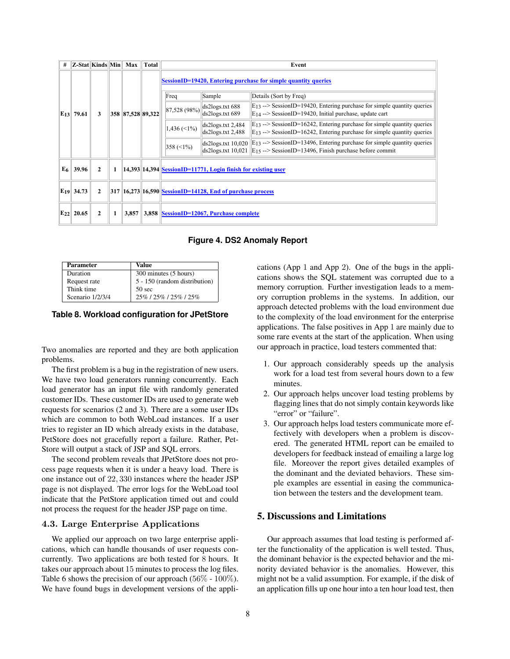| #          | <b>Z-Stat Kinds Min</b>         |              |   | Max          | Total                              | Event                                                                                                                                                      |                        |                                                                                                                                                                                  |  |  |                   |                                        |                                                                                                                                                                            |
|------------|---------------------------------|--------------|---|--------------|------------------------------------|------------------------------------------------------------------------------------------------------------------------------------------------------------|------------------------|----------------------------------------------------------------------------------------------------------------------------------------------------------------------------------|--|--|-------------------|----------------------------------------|----------------------------------------------------------------------------------------------------------------------------------------------------------------------------|
|            |                                 |              |   |              |                                    | SessionID=19420, Entering purchase for simple quantity queries                                                                                             |                        |                                                                                                                                                                                  |  |  |                   |                                        |                                                                                                                                                                            |
|            |                                 |              |   |              |                                    | Freq                                                                                                                                                       | Sample                 | Details (Sort by Freq)                                                                                                                                                           |  |  |                   |                                        |                                                                                                                                                                            |
| $ E_{13} $ | 358 87,528 89,322<br>3<br>79.61 |              |   | 87,528 (98%) | ds2logs.txt 688<br>ds2logs.txt 689 | $E_{13} \rightarrow$ SessionID=19420, Entering purchase for simple quantity queries<br>$E_{14} \rightarrow$ SessionID=19420, Initial purchase, update cart |                        |                                                                                                                                                                                  |  |  |                   |                                        |                                                                                                                                                                            |
|            |                                 |              |   |              |                                    |                                                                                                                                                            |                        |                                                                                                                                                                                  |  |  | $1,436 \; (<1\%)$ | ds2logs.txt 2,484<br>ds2logs.txt 2,488 | $E_{13} \rightarrow$ SessionID=16242, Entering purchase for simple quantity queries<br>$E_{13} \rightarrow$ SessionID=16242, Entering purchase for simple quantity queries |
|            |                                 |              |   |              |                                    | 358 $(<1\%)$                                                                                                                                               | $ds2logs.txt$ $10,021$ | ds2logs.txt $10,020$  E <sub>13</sub> - > SessionID=13496, Entering purchase for simple quantity queries<br>$ E_{15} \rightarrow$ SessionID=13496, Finish purchase before commit |  |  |                   |                                        |                                                                                                                                                                            |
| $E_6$      | 39.96                           | $\mathbf{2}$ | 1 |              |                                    | 14,393 14,394 SessionID=11771, Login finish for existing user                                                                                              |                        |                                                                                                                                                                                  |  |  |                   |                                        |                                                                                                                                                                            |
|            | $E_{19}$ 34.73                  | $\mathbf{2}$ |   |              |                                    | 317 16,273 16,590 SessionID=14128, End of purchase process                                                                                                 |                        |                                                                                                                                                                                  |  |  |                   |                                        |                                                                                                                                                                            |
| $ E_{22} $ | 20.65                           | $\mathbf{2}$ | 1 | 3,857        |                                    | 3,858 SessionID=12067, Purchase complete                                                                                                                   |                        |                                                                                                                                                                                  |  |  |                   |                                        |                                                                                                                                                                            |

**Figure 4. DS2 Anomaly Report**

| <b>Parameter</b> | Value                         |
|------------------|-------------------------------|
| Duration         | 300 minutes (5 hours)         |
| Request rate     | 5 - 150 (random distribution) |
| Think time       | $50 \text{ sec}$              |
| Scenario 1/2/3/4 | 25% / 25% / 25% / 25%         |

**Table 8. Workload configuration for JPetStore**

Two anomalies are reported and they are both application problems.

The first problem is a bug in the registration of new users. We have two load generators running concurrently. Each load generator has an input file with randomly generated customer IDs. These customer IDs are used to generate web requests for scenarios (2 and 3). There are a some user IDs which are common to both WebLoad instances. If a user tries to register an ID which already exists in the database, PetStore does not gracefully report a failure. Rather, Pet-Store will output a stack of JSP and SQL errors.

The second problem reveals that JPetStore does not process page requests when it is under a heavy load. There is one instance out of 22, 330 instances where the header JSP page is not displayed. The error logs for the WebLoad tool indicate that the PetStore application timed out and could not process the request for the header JSP page on time.

### **4.3. Large Enterprise Applications**

We applied our approach on two large enterprise applications, which can handle thousands of user requests concurrently. Two applications are both tested for 8 hours. It takes our approach about 15 minutes to process the log files. Table 6 shows the precision of our approach (56% - 100%). We have found bugs in development versions of the applications (App 1 and App 2). One of the bugs in the applications shows the SQL statement was corrupted due to a memory corruption. Further investigation leads to a memory corruption problems in the systems. In addition, our approach detected problems with the load environment due to the complexity of the load environment for the enterprise applications. The false positives in App 1 are mainly due to some rare events at the start of the application. When using our approach in practice, load testers commented that:

- 1. Our approach considerably speeds up the analysis work for a load test from several hours down to a few minutes.
- 2. Our approach helps uncover load testing problems by flagging lines that do not simply contain keywords like "error" or "failure".
- 3. Our approach helps load testers communicate more effectively with developers when a problem is discovered. The generated HTML report can be emailed to developers for feedback instead of emailing a large log file. Moreover the report gives detailed examples of the dominant and the deviated behaviors. These simple examples are essential in easing the communication between the testers and the development team.

# 5. Discussions and Limitations

Our approach assumes that load testing is performed after the functionality of the application is well tested. Thus, the dominant behavior is the expected behavior and the minority deviated behavior is the anomalies. However, this might not be a valid assumption. For example, if the disk of an application fills up one hour into a ten hour load test, then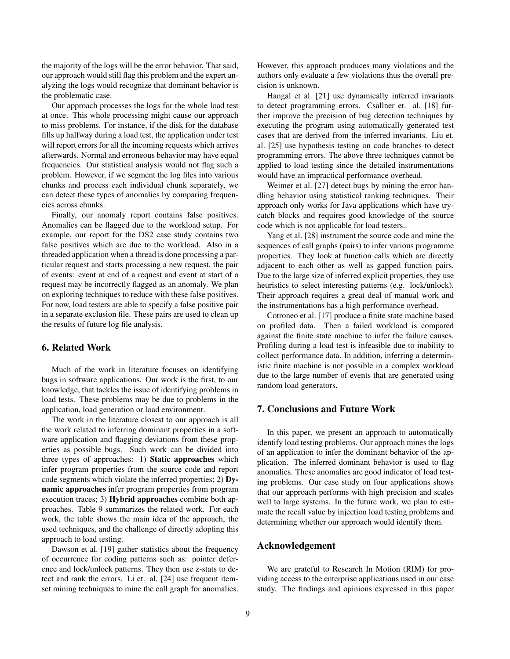the majority of the logs will be the error behavior. That said, our approach would still flag this problem and the expert analyzing the logs would recognize that dominant behavior is the problematic case.

Our approach processes the logs for the whole load test at once. This whole processing might cause our approach to miss problems. For instance, if the disk for the database fills up halfway during a load test, the application under test will report errors for all the incoming requests which arrives afterwards. Normal and erroneous behavior may have equal frequencies. Our statistical analysis would not flag such a problem. However, if we segment the log files into various chunks and process each individual chunk separately, we can detect these types of anomalies by comparing frequencies across chunks.

Finally, our anomaly report contains false positives. Anomalies can be flagged due to the workload setup. For example, our report for the DS2 case study contains two false positives which are due to the workload. Also in a threaded application when a thread is done processing a particular request and starts processing a new request, the pair of events: event at end of a request and event at start of a request may be incorrectly flagged as an anomaly. We plan on exploring techniques to reduce with these false positives. For now, load testers are able to specify a false positive pair in a separate exclusion file. These pairs are used to clean up the results of future log file analysis.

# 6. Related Work

Much of the work in literature focuses on identifying bugs in software applications. Our work is the first, to our knowledge, that tackles the issue of identifying problems in load tests. These problems may be due to problems in the application, load generation or load environment.

The work in the literature closest to our approach is all the work related to inferring dominant properties in a software application and flagging deviations from these properties as possible bugs. Such work can be divided into three types of approaches: 1) Static approaches which infer program properties from the source code and report code segments which violate the inferred properties; 2) Dynamic approaches infer program properties from program execution traces; 3) Hybrid approaches combine both approaches. Table 9 summarizes the related work. For each work, the table shows the main idea of the approach, the used techniques, and the challenge of directly adopting this approach to load testing.

Dawson et al. [19] gather statistics about the frequency of occurrence for coding patterns such as: pointer deference and lock/unlock patterns. They then use z-stats to detect and rank the errors. Li et. al. [24] use frequent itemset mining techniques to mine the call graph for anomalies. However, this approach produces many violations and the authors only evaluate a few violations thus the overall precision is unknown.

Hangal et al. [21] use dynamically inferred invariants to detect programming errors. Csallner et. al. [18] further improve the precision of bug detection techniques by executing the program using automatically generated test cases that are derived from the inferred invariants. Liu et. al. [25] use hypothesis testing on code branches to detect programming errors. The above three techniques cannot be applied to load testing since the detailed instrumentations would have an impractical performance overhead.

Weimer et al. [27] detect bugs by mining the error handling behavior using statistical ranking techniques. Their approach only works for Java applications which have trycatch blocks and requires good knowledge of the source code which is not applicable for load testers..

Yang et al. [28] instrument the source code and mine the sequences of call graphs (pairs) to infer various programme properties. They look at function calls which are directly adjacent to each other as well as gapped function pairs. Due to the large size of inferred explicit properties, they use heuristics to select interesting patterns (e.g. lock/unlock). Their approach requires a great deal of manual work and the instrumentations has a high performance overhead.

Cotroneo et al. [17] produce a finite state machine based on profiled data. Then a failed workload is compared against the finite state machine to infer the failure causes. Profiling during a load test is infeasible due to inability to collect performance data. In addition, inferring a deterministic finite machine is not possible in a complex workload due to the large number of events that are generated using random load generators.

# 7. Conclusions and Future Work

In this paper, we present an approach to automatically identify load testing problems. Our approach mines the logs of an application to infer the dominant behavior of the application. The inferred dominant behavior is used to flag anomalies. These anomalies are good indicator of load testing problems. Our case study on four applications shows that our approach performs with high precision and scales well to large systems. In the future work, we plan to estimate the recall value by injection load testing problems and determining whether our approach would identify them.

### Acknowledgement

We are grateful to Research In Motion (RIM) for providing access to the enterprise applications used in our case study. The findings and opinions expressed in this paper